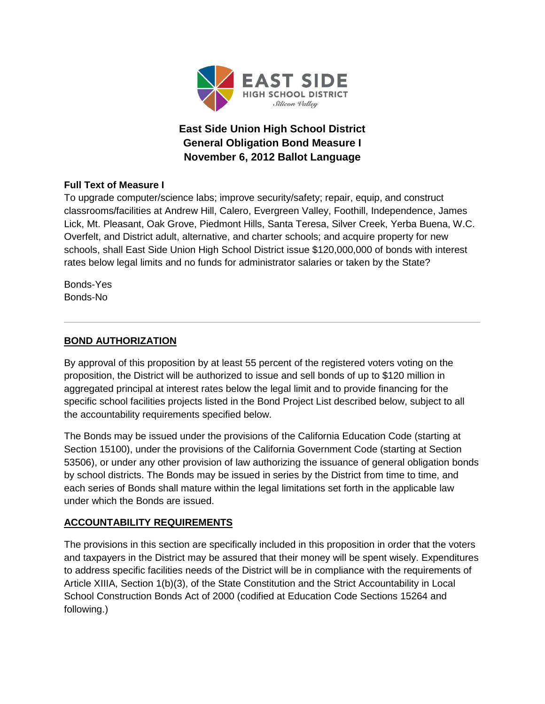

# **East Side Union High School District General Obligation Bond Measure I November 6, 2012 Ballot Language**

### **Full Text of Measure I**

To upgrade computer/science labs; improve security/safety; repair, equip, and construct classrooms/facilities at Andrew Hill, Calero, Evergreen Valley, Foothill, Independence, James Lick, Mt. Pleasant, Oak Grove, Piedmont Hills, Santa Teresa, Silver Creek, Yerba Buena, W.C. Overfelt, and District adult, alternative, and charter schools; and acquire property for new schools, shall East Side Union High School District issue \$120,000,000 of bonds with interest rates below legal limits and no funds for administrator salaries or taken by the State?

Bonds-Yes Bonds-No

# **BOND AUTHORIZATION**

By approval of this proposition by at least 55 percent of the registered voters voting on the proposition, the District will be authorized to issue and sell bonds of up to \$120 million in aggregated principal at interest rates below the legal limit and to provide financing for the specific school facilities projects listed in the Bond Project List described below, subject to all the accountability requirements specified below.

The Bonds may be issued under the provisions of the California Education Code (starting at Section 15100), under the provisions of the California Government Code (starting at Section 53506), or under any other provision of law authorizing the issuance of general obligation bonds by school districts. The Bonds may be issued in series by the District from time to time, and each series of Bonds shall mature within the legal limitations set forth in the applicable law under which the Bonds are issued.

### **ACCOUNTABILITY REQUIREMENTS**

The provisions in this section are specifically included in this proposition in order that the voters and taxpayers in the District may be assured that their money will be spent wisely. Expenditures to address specific facilities needs of the District will be in compliance with the requirements of Article XIIIA, Section 1(b)(3), of the State Constitution and the Strict Accountability in Local School Construction Bonds Act of 2000 (codified at Education Code Sections 15264 and following.)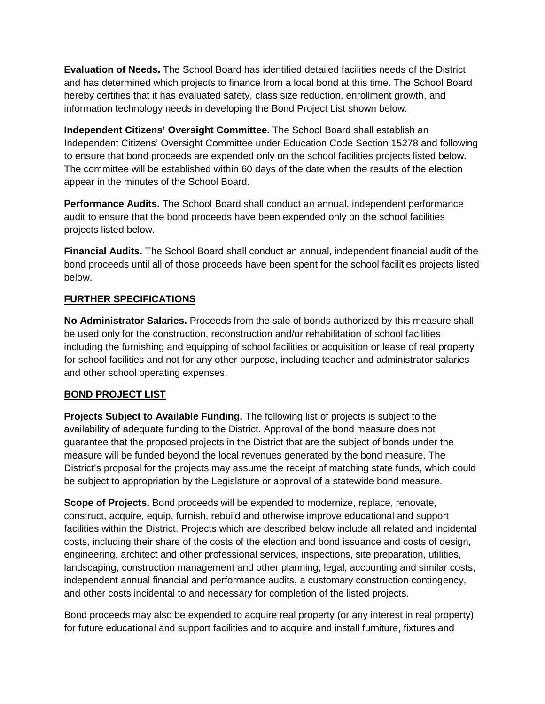**Evaluation of Needs.** The School Board has identified detailed facilities needs of the District and has determined which projects to finance from a local bond at this time. The School Board hereby certifies that it has evaluated safety, class size reduction, enrollment growth, and information technology needs in developing the Bond Project List shown below.

**Independent Citizens' Oversight Committee.** The School Board shall establish an Independent Citizens' Oversight Committee under Education Code Section 15278 and following to ensure that bond proceeds are expended only on the school facilities projects listed below. The committee will be established within 60 days of the date when the results of the election appear in the minutes of the School Board.

**Performance Audits.** The School Board shall conduct an annual, independent performance audit to ensure that the bond proceeds have been expended only on the school facilities projects listed below.

**Financial Audits.** The School Board shall conduct an annual, independent financial audit of the bond proceeds until all of those proceeds have been spent for the school facilities projects listed below.

### **FURTHER SPECIFICATIONS**

**No Administrator Salaries.** Proceeds from the sale of bonds authorized by this measure shall be used only for the construction, reconstruction and/or rehabilitation of school facilities including the furnishing and equipping of school facilities or acquisition or lease of real property for school facilities and not for any other purpose, including teacher and administrator salaries and other school operating expenses.

### **BOND PROJECT LIST**

**Projects Subject to Available Funding.** The following list of projects is subject to the availability of adequate funding to the District. Approval of the bond measure does not guarantee that the proposed projects in the District that are the subject of bonds under the measure will be funded beyond the local revenues generated by the bond measure. The District's proposal for the projects may assume the receipt of matching state funds, which could be subject to appropriation by the Legislature or approval of a statewide bond measure.

**Scope of Projects.** Bond proceeds will be expended to modernize, replace, renovate, construct, acquire, equip, furnish, rebuild and otherwise improve educational and support facilities within the District. Projects which are described below include all related and incidental costs, including their share of the costs of the election and bond issuance and costs of design, engineering, architect and other professional services, inspections, site preparation, utilities, landscaping, construction management and other planning, legal, accounting and similar costs, independent annual financial and performance audits, a customary construction contingency, and other costs incidental to and necessary for completion of the listed projects.

Bond proceeds may also be expended to acquire real property (or any interest in real property) for future educational and support facilities and to acquire and install furniture, fixtures and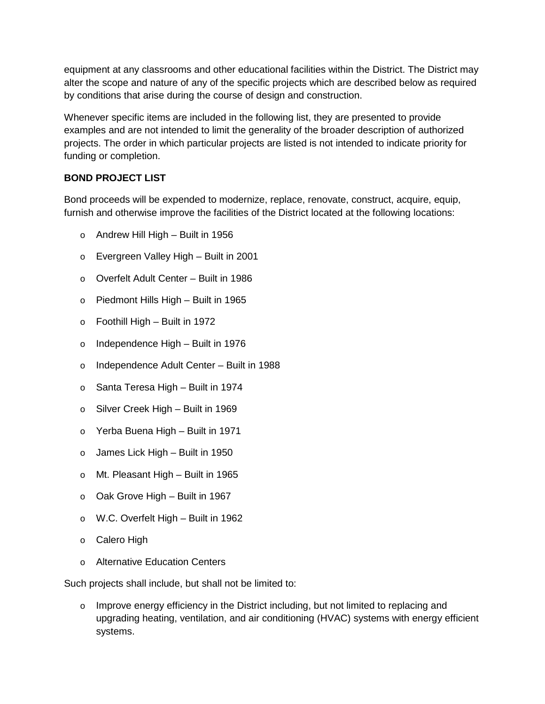equipment at any classrooms and other educational facilities within the District. The District may alter the scope and nature of any of the specific projects which are described below as required by conditions that arise during the course of design and construction.

Whenever specific items are included in the following list, they are presented to provide examples and are not intended to limit the generality of the broader description of authorized projects. The order in which particular projects are listed is not intended to indicate priority for funding or completion.

# **BOND PROJECT LIST**

Bond proceeds will be expended to modernize, replace, renovate, construct, acquire, equip, furnish and otherwise improve the facilities of the District located at the following locations:

- o Andrew Hill High Built in 1956
- o Evergreen Valley High Built in 2001
- o Overfelt Adult Center Built in 1986
- o Piedmont Hills High Built in 1965
- o Foothill High Built in 1972
- o Independence High Built in 1976
- o Independence Adult Center Built in 1988
- o Santa Teresa High Built in 1974
- o Silver Creek High Built in 1969
- o Yerba Buena High Built in 1971
- $\circ$  James Lick High Built in 1950
- o Mt. Pleasant High Built in 1965
- o Oak Grove High Built in 1967
- o W.C. Overfelt High Built in 1962
- o Calero High
- o Alternative Education Centers

Such projects shall include, but shall not be limited to:

 $\circ$  Improve energy efficiency in the District including, but not limited to replacing and upgrading heating, ventilation, and air conditioning (HVAC) systems with energy efficient systems.